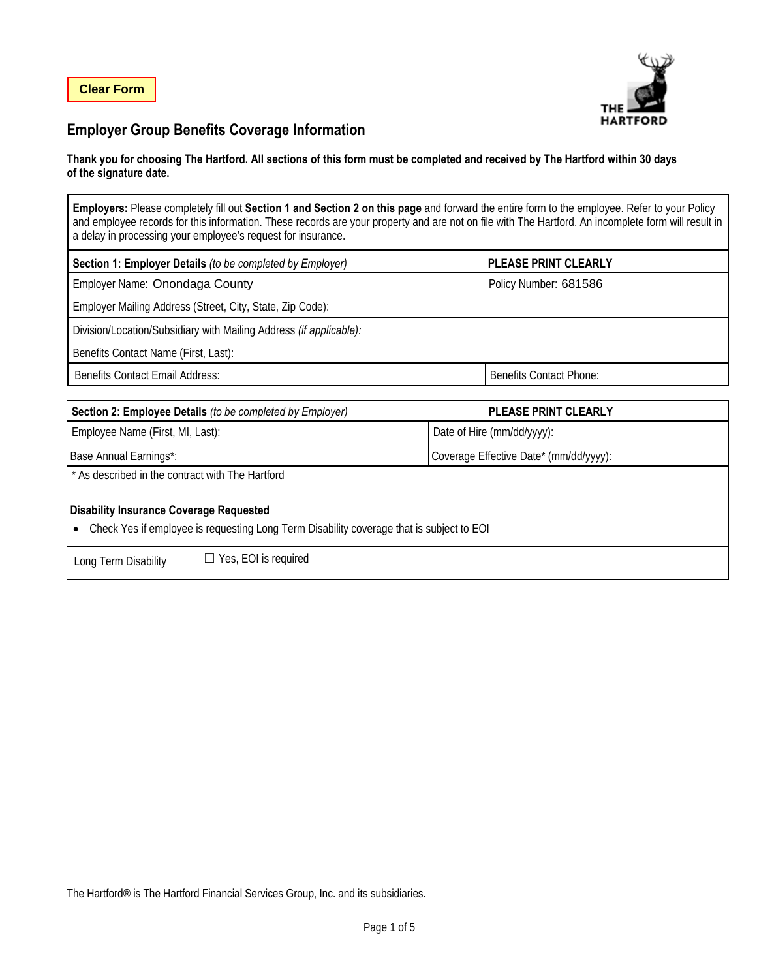

## **Employer Group Benefits Coverage Information**

#### **Thank you for choosing The Hartford. All sections of this form must be completed and received by The Hartford within 30 days of the signature date.**

**Employers:** Please completely fill out **Section 1 and Section 2 on this page** and forward the entire form to the employee. Refer to your Policy and employee records for this information. These records are your property and are not on file with The Hartford. An incomplete form will result in a delay in processing your employee's request for insurance.

| Section 1: Employer Details (to be completed by Employer)          | <b>PLEASE PRINT CLEARLY</b>    |  |
|--------------------------------------------------------------------|--------------------------------|--|
| Employer Name: Onondaga County                                     | Policy Number: 681586          |  |
| Employer Mailing Address (Street, City, State, Zip Code):          |                                |  |
| Division/Location/Subsidiary with Mailing Address (if applicable): |                                |  |
| Benefits Contact Name (First, Last):                               |                                |  |
| <b>Benefits Contact Email Address:</b>                             | <b>Benefits Contact Phone:</b> |  |
|                                                                    |                                |  |

| Section 2: Employee Details (to be completed by Employer)                                                                                               | <b>PLEASE PRINT CLEARLY</b>            |  |  |  |
|---------------------------------------------------------------------------------------------------------------------------------------------------------|----------------------------------------|--|--|--|
| Employee Name (First, MI, Last):                                                                                                                        | Date of Hire (mm/dd/yyyy):             |  |  |  |
| Base Annual Earnings*:                                                                                                                                  | Coverage Effective Date* (mm/dd/yyyy): |  |  |  |
| * As described in the contract with The Hartford                                                                                                        |                                        |  |  |  |
| <b>Disability Insurance Coverage Requested</b><br>Check Yes if employee is requesting Long Term Disability coverage that is subject to EOI<br>$\bullet$ |                                        |  |  |  |
| $\Box$ Yes, EOI is required<br>Long Term Disability                                                                                                     |                                        |  |  |  |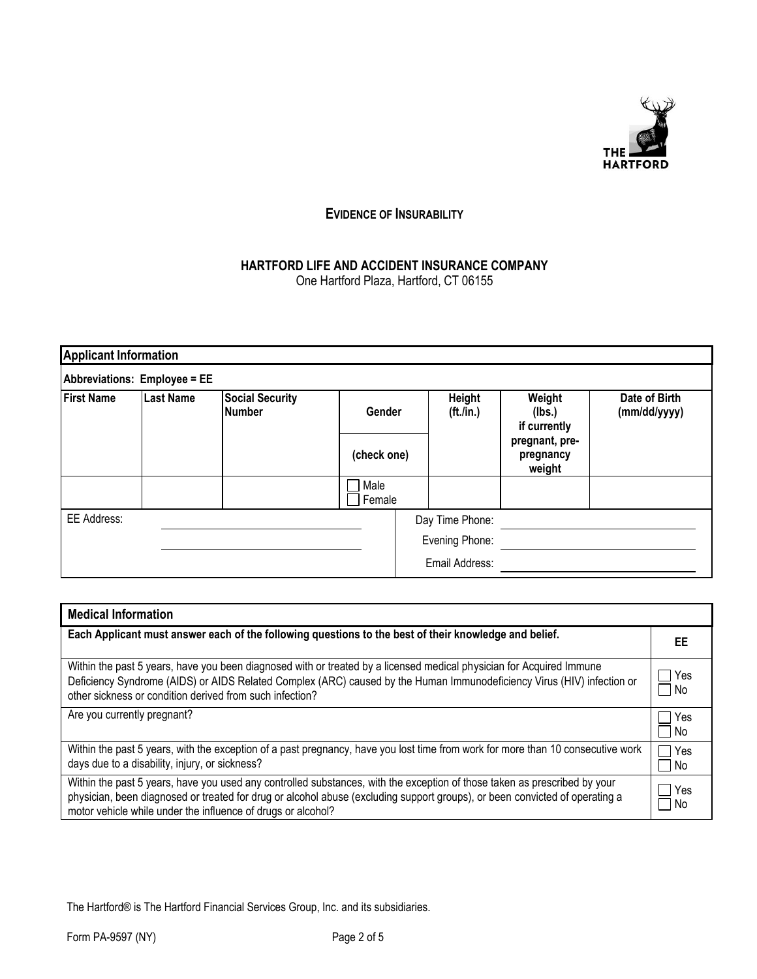

## **EVIDENCE OF INSURABILITY**

# **HARTFORD LIFE AND ACCIDENT INSURANCE COMPANY**

One Hartford Plaza, Hartford, CT 06155

| <b>Applicant Information</b> |           |                                         |                 |                |                |                                       |                               |
|------------------------------|-----------|-----------------------------------------|-----------------|----------------|----------------|---------------------------------------|-------------------------------|
| Abbreviations: Employee = EE |           |                                         |                 |                |                |                                       |                               |
| <b>First Name</b>            | Last Name | <b>Social Security</b><br><b>Number</b> |                 | Gender         |                | Weight<br>(lbs.)<br>if currently      | Date of Birth<br>(mm/dd/yyyy) |
|                              |           |                                         | (check one)     |                |                | pregnant, pre-<br>pregnancy<br>weight |                               |
|                              |           |                                         | Male<br>Female  |                |                |                                       |                               |
| EE Address:                  |           |                                         | Day Time Phone: |                |                |                                       |                               |
|                              |           |                                         |                 | Evening Phone: |                |                                       |                               |
|                              |           |                                         |                 |                | Email Address: |                                       |                               |

| <b>Medical Information</b>                                                                                                                                                                                                                                                                                               |               |
|--------------------------------------------------------------------------------------------------------------------------------------------------------------------------------------------------------------------------------------------------------------------------------------------------------------------------|---------------|
| Each Applicant must answer each of the following questions to the best of their knowledge and belief.                                                                                                                                                                                                                    | EE            |
| Within the past 5 years, have you been diagnosed with or treated by a licensed medical physician for Acquired Immune<br>Deficiency Syndrome (AIDS) or AIDS Related Complex (ARC) caused by the Human Immunodeficiency Virus (HIV) infection or<br>other sickness or condition derived from such infection?               | Yes<br>– I No |
| Are you currently pregnant?                                                                                                                                                                                                                                                                                              | Yes<br>No     |
| Within the past 5 years, with the exception of a past pregnancy, have you lost time from work for more than 10 consecutive work<br>days due to a disability, injury, or sickness?                                                                                                                                        | Yes<br>No     |
| Within the past 5 years, have you used any controlled substances, with the exception of those taken as prescribed by your<br>physician, been diagnosed or treated for drug or alcohol abuse (excluding support groups), or been convicted of operating a<br>motor vehicle while under the influence of drugs or alcohol? | Yes<br>No.    |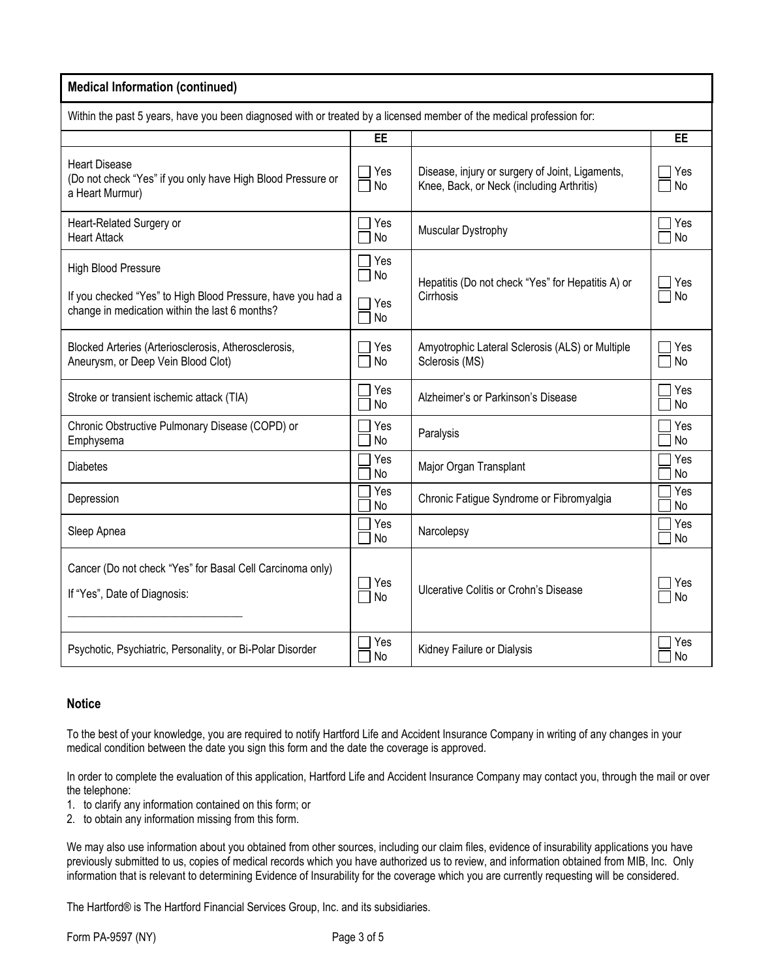#### **Medical Information (continued)**

Within the past 5 years, have you been diagnosed with or treated by a licensed member of the medical profession for:

|                                                                                                               | EE                  |                                                                                              | EE                           |  |  |
|---------------------------------------------------------------------------------------------------------------|---------------------|----------------------------------------------------------------------------------------------|------------------------------|--|--|
| <b>Heart Disease</b><br>(Do not check "Yes" if you only have High Blood Pressure or<br>a Heart Murmur)        | $\exists$ Yes<br>No | Disease, injury or surgery of Joint, Ligaments,<br>Knee, Back, or Neck (including Arthritis) | ヿ Yes<br>$\sqcap$ No         |  |  |
| Heart-Related Surgery or<br><b>Heart Attack</b>                                                               | Yes<br>No           | Muscular Dystrophy                                                                           | 7 Yes<br>7 No                |  |  |
| <b>High Blood Pressure</b>                                                                                    | $\Box$ Yes<br>No    | Hepatitis (Do not check "Yes" for Hepatitis A) or                                            | Yes                          |  |  |
| If you checked "Yes" to High Blood Pressure, have you had a<br>change in medication within the last 6 months? | Yes<br>No           | Cirrhosis                                                                                    | $\Box$ No                    |  |  |
| Blocked Arteries (Arteriosclerosis, Atherosclerosis,<br>Aneurysm, or Deep Vein Blood Clot)                    | Yes<br>No           | Amyotrophic Lateral Sclerosis (ALS) or Multiple<br>Sclerosis (MS)                            | $\exists$ Yes<br>$\sqcap$ No |  |  |
| Stroke or transient ischemic attack (TIA)                                                                     | Yes<br>No           | Alzheimer's or Parkinson's Disease                                                           | 7 Yes<br><b>No</b>           |  |  |
| Chronic Obstructive Pulmonary Disease (COPD) or<br>Emphysema                                                  | Yes<br>No           | Paralysis                                                                                    | Yes<br>No                    |  |  |
| <b>Diabetes</b>                                                                                               | Yes<br>No           | Major Organ Transplant                                                                       | Yes<br>No                    |  |  |
| Depression                                                                                                    | Yes<br>No           | Chronic Fatigue Syndrome or Fibromyalgia                                                     | Yes<br>No                    |  |  |
| Sleep Apnea                                                                                                   | Yes<br>No           | Narcolepsy                                                                                   | Yes<br><b>No</b>             |  |  |
| Cancer (Do not check "Yes" for Basal Cell Carcinoma only)<br>If "Yes", Date of Diagnosis:                     | Yes<br>  No         | Ulcerative Colitis or Crohn's Disease                                                        | Yes<br>□ No                  |  |  |
| Psychotic, Psychiatric, Personality, or Bi-Polar Disorder                                                     | Yes<br>No           | Kidney Failure or Dialysis                                                                   | Yes<br>No                    |  |  |

## **Notice**

To the best of your knowledge, you are required to notify Hartford Life and Accident Insurance Company in writing of any changes in your medical condition between the date you sign this form and the date the coverage is approved.

In order to complete the evaluation of this application, Hartford Life and Accident Insurance Company may contact you, through the mail or over the telephone:

- 1. to clarify any information contained on this form; or
- 2. to obtain any information missing from this form.

We may also use information about you obtained from other sources, including our claim files, evidence of insurability applications you have previously submitted to us, copies of medical records which you have authorized us to review, and information obtained from MIB, Inc. Only information that is relevant to determining Evidence of Insurability for the coverage which you are currently requesting will be considered.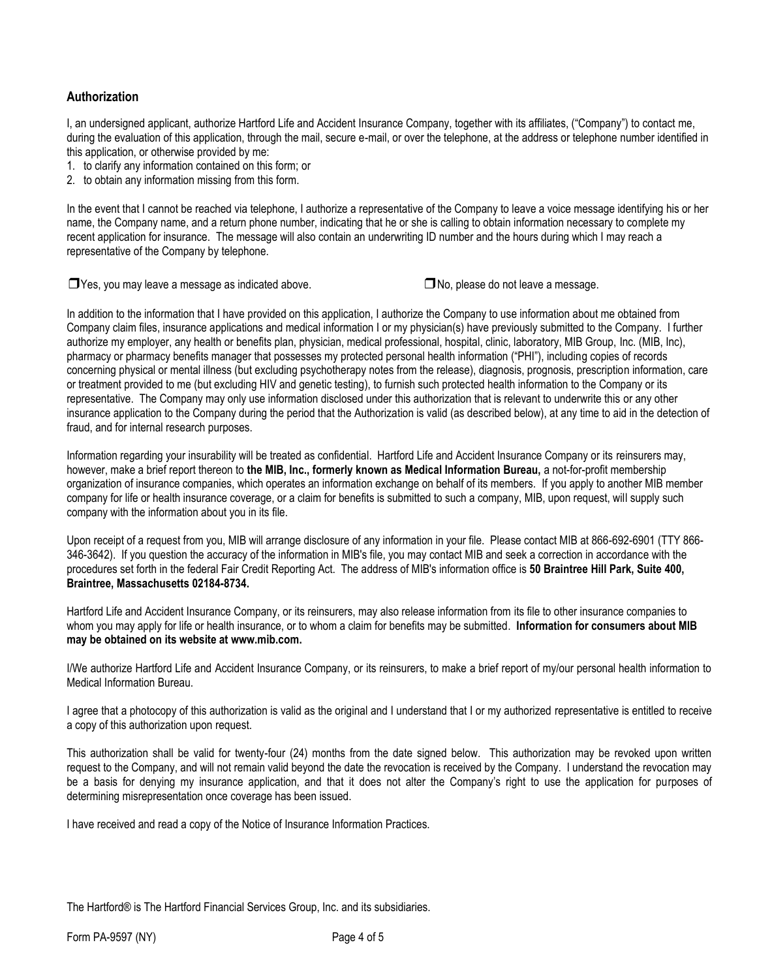## **Authorization**

I, an undersigned applicant, authorize Hartford Life and Accident Insurance Company, together with its affiliates, ("Company") to contact me, during the evaluation of this application, through the mail, secure e-mail, or over the telephone, at the address or telephone number identified in this application, or otherwise provided by me:

- 1. to clarify any information contained on this form; or
- 2. to obtain any information missing from this form.

In the event that I cannot be reached via telephone, I authorize a representative of the Company to leave a voice message identifying his or her name, the Company name, and a return phone number, indicating that he or she is calling to obtain information necessary to complete my recent application for insurance. The message will also contain an underwriting ID number and the hours during which I may reach a representative of the Company by telephone.

❒ Yes, you may leave a message as indicated above. ❒No, please do not leave a message.

In addition to the information that I have provided on this application, I authorize the Company to use information about me obtained from Company claim files, insurance applications and medical information I or my physician(s) have previously submitted to the Company. I further authorize my employer, any health or benefits plan, physician, medical professional, hospital, clinic, laboratory, MIB Group, Inc. (MIB, Inc), pharmacy or pharmacy benefits manager that possesses my protected personal health information ("PHI"), including copies of records concerning physical or mental illness (but excluding psychotherapy notes from the release), diagnosis, prognosis, prescription information, care or treatment provided to me (but excluding HIV and genetic testing), to furnish such protected health information to the Company or its representative. The Company may only use information disclosed under this authorization that is relevant to underwrite this or any other insurance application to the Company during the period that the Authorization is valid (as described below), at any time to aid in the detection of fraud, and for internal research purposes.

Information regarding your insurability will be treated as confidential. Hartford Life and Accident Insurance Company or its reinsurers may, however, make a brief report thereon to **the MIB, Inc., formerly known as Medical Information Bureau,** a not-for-profit membership organization of insurance companies, which operates an information exchange on behalf of its members. If you apply to another MIB member company for life or health insurance coverage, or a claim for benefits is submitted to such a company, MIB, upon request, will supply such company with the information about you in its file.

Upon receipt of a request from you, MIB will arrange disclosure of any information in your file. Please contact MIB at 866-692-6901 (TTY 866- 346-3642). If you question the accuracy of the information in MIB's file, you may contact MIB and seek a correction in accordance with the procedures set forth in the federal Fair Credit Reporting Act. The address of MIB's information office is **50 Braintree Hill Park, Suite 400, Braintree, Massachusetts 02184-8734.**

Hartford Life and Accident Insurance Company, or its reinsurers, may also release information from its file to other insurance companies to whom you may apply for life or health insurance, or to whom a claim for benefits may be submitted. **Information for consumers about MIB may be obtained on its website at www.mib.com.** 

I/We authorize Hartford Life and Accident Insurance Company, or its reinsurers, to make a brief report of my/our personal health information to Medical Information Bureau.

I agree that a photocopy of this authorization is valid as the original and I understand that I or my authorized representative is entitled to receive a copy of this authorization upon request.

This authorization shall be valid for twenty-four (24) months from the date signed below. This authorization may be revoked upon written request to the Company, and will not remain valid beyond the date the revocation is received by the Company. I understand the revocation may be a basis for denying my insurance application, and that it does not alter the Company's right to use the application for purposes of determining misrepresentation once coverage has been issued.

I have received and read a copy of the Notice of Insurance Information Practices.